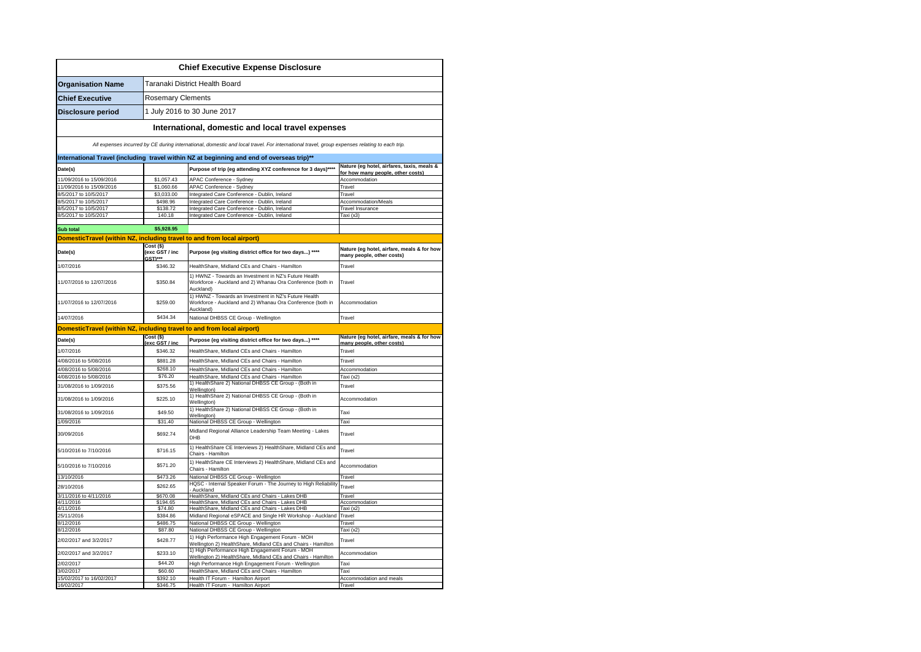|                                                                        |                                         | <b>Chief Executive Expense Disclosure</b>                                                                                                    |                                                                                 |  |  |
|------------------------------------------------------------------------|-----------------------------------------|----------------------------------------------------------------------------------------------------------------------------------------------|---------------------------------------------------------------------------------|--|--|
| <b>Organisation Name</b>                                               | Taranaki District Health Board          |                                                                                                                                              |                                                                                 |  |  |
| <b>Chief Executive</b>                                                 |                                         | <b>Rosemary Clements</b>                                                                                                                     |                                                                                 |  |  |
| Disclosure period                                                      |                                         | 1 July 2016 to 30 June 2017                                                                                                                  |                                                                                 |  |  |
|                                                                        |                                         | International, domestic and local travel expenses                                                                                            |                                                                                 |  |  |
|                                                                        |                                         | All expenses incurred by CE during international, domestic and local travel. For international travel, group expenses relating to each trip. |                                                                                 |  |  |
|                                                                        |                                         | International Travel (including travel within NZ at beginning and end of overseas trip)**                                                    |                                                                                 |  |  |
| Date(s)                                                                |                                         | Purpose of trip (eg attending XYZ conference for 3 days)****                                                                                 | Nature (eg hotel, airfares, taxis, meals &<br>for how many people, other costs) |  |  |
| 11/09/2016 to 15/09/2016                                               | \$1,057.43                              | APAC Conference - Sydney                                                                                                                     | Accommodation                                                                   |  |  |
| 11/09/2016 to 15/09/2016                                               | \$1,060.66                              | APAC Conference - Sydney                                                                                                                     | Travel                                                                          |  |  |
| 8/5/2017 to 10/5/2017                                                  | \$3,033.00                              | Integrated Care Conference - Dublin, Ireland                                                                                                 | Travel                                                                          |  |  |
| 8/5/2017 to 10/5/2017                                                  | \$498.96                                | Integrated Care Conference - Dublin, Ireland                                                                                                 | Accommodation/Meals                                                             |  |  |
| 8/5/2017 to 10/5/2017                                                  | \$138.72<br>140.18                      | Integrated Care Conference - Dublin, Ireland                                                                                                 | <b>Travel Insurance</b>                                                         |  |  |
| 8/5/2017 to 10/5/2017                                                  |                                         | Integrated Care Conference - Dublin, Ireland                                                                                                 | Taxi (x3)                                                                       |  |  |
| Sub total                                                              | \$5,928.95                              |                                                                                                                                              |                                                                                 |  |  |
| DomesticTravel (within NZ, including travel to and from local airport) |                                         |                                                                                                                                              |                                                                                 |  |  |
| Date(s)                                                                | Cost (\$)<br>(exc GST / inc<br>$GST***$ | Purpose (eg visiting district office for two days) ****                                                                                      | Nature (eg hotel, airfare, meals & for how<br>many people, other costs)         |  |  |
| 1/07/2016                                                              | \$346.32                                | HealthShare, Midland CEs and Chairs - Hamilton                                                                                               | Travel                                                                          |  |  |
|                                                                        |                                         | 1) HWNZ - Towards an Investment in NZ's Future Health                                                                                        |                                                                                 |  |  |
| 11/07/2016 to 12/07/2016                                               | \$350.84                                | Workforce - Auckland and 2) Whanau Ora Conference (both in<br>Auckland)                                                                      | Travel                                                                          |  |  |
| 11/07/2016 to 12/07/2016                                               | \$259.00                                | 1) HWNZ - Towards an Investment in NZ's Future Health<br>Workforce - Auckland and 2) Whanau Ora Conference (both in<br>Auckland)             | Accommodation                                                                   |  |  |
| 14/07/2016                                                             | \$434.34                                | National DHBSS CE Group - Wellington                                                                                                         | Travel                                                                          |  |  |
| DomesticTravel (within NZ, including travel to and from local airport) |                                         |                                                                                                                                              |                                                                                 |  |  |
| Date(s)                                                                | $Cost($ \$)<br>$($ avc $CST/$ in        | Purpose (eg visiting district office for two days) ****                                                                                      | Nature (eg hotel, airfare, meals & for how<br>many neonle other costs)          |  |  |
| 1/07/2016                                                              | \$346.32                                | HealthShare, Midland CEs and Chairs - Hamilton                                                                                               | Travel                                                                          |  |  |
|                                                                        |                                         | HealthShare, Midland CEs and Chairs - Hamilton                                                                                               | Travel                                                                          |  |  |
| 4/08/2016 to 5/08/2016                                                 | \$881.28                                |                                                                                                                                              |                                                                                 |  |  |
| 4/08/2016 to 5/08/2016                                                 | \$268.10                                | HealthShare, Midland CEs and Chairs - Hamilton                                                                                               | Accommodation                                                                   |  |  |
| 4/08/2016 to 5/08/2016                                                 | \$76.20                                 | HealthShare, Midland CEs and Chairs - Hamilton                                                                                               | Taxi (x2)                                                                       |  |  |
| 31/08/2016 to 1/09/2016                                                | \$375.56                                | 1) HealthShare 2) National DHBSS CE Group - (Both in<br><b>Wellington</b> )                                                                  | Travel                                                                          |  |  |
| 31/08/2016 to 1/09/2016                                                | \$225.10                                | 1) HealthShare 2) National DHBSS CE Group - (Both in<br>Wellington)                                                                          | Accommodation                                                                   |  |  |
| 31/08/2016 to 1/09/2016                                                | \$49.50                                 | 1) HealthShare 2) National DHBSS CE Group - (Both in<br>Wellington)                                                                          | Taxi                                                                            |  |  |
| 1/09/2016                                                              | \$31.40                                 | National DHBSS CE Group - Wellington                                                                                                         | Taxi                                                                            |  |  |
| 30/09/2016                                                             | \$692.74                                | Midland Regional Alliance Leadership Team Meeting - Lakes<br><b>DHB</b>                                                                      | Travel                                                                          |  |  |
| 5/10/2016 to 7/10/2016                                                 | \$716.15                                | 1) HealthShare CE Interviews 2) HealthShare, Midland CEs and<br>Chairs - Hamilton                                                            | Travel                                                                          |  |  |
| 5/10/2016 to 7/10/2016                                                 | \$571.20                                | 1) HealthShare CE Interviews 2) HealthShare, Midland CEs and<br>Chairs - Hamilton                                                            | Accommodation                                                                   |  |  |
| 13/10/2016                                                             | \$473.26                                | National DHBSS CE Group - Wellington                                                                                                         | Travel                                                                          |  |  |
| 28/10/2016                                                             | \$262.65                                | HQSC - Internal Speaker Forum - The Journey to High Reliability<br>Auckland                                                                  | Travel                                                                          |  |  |
| 3/11/2016 to 4/11/2016                                                 | \$670.08                                | HealthShare, Midland CEs and Chairs - Lakes DHB                                                                                              | Travel                                                                          |  |  |
| 4/11/2016                                                              | \$194.65                                | HealthShare, Midland CEs and Chairs - Lakes DHB                                                                                              | Accommodation                                                                   |  |  |
| 4/11/2016<br>25/11/2016                                                | \$74.80<br>\$384.86                     | HealthShare, Midland CEs and Chairs - Lakes DHB<br>Midland Regional eSPACE and Single HR Workshop - Auckland                                 | Taxi (x2)<br>Travel                                                             |  |  |
| 8/12/2016                                                              | \$486.75                                | National DHBSS CE Group - Wellington                                                                                                         | Travel                                                                          |  |  |
| 8/12/2016                                                              | \$87.80                                 | National DHBSS CE Group - Wellington                                                                                                         | Taxi (x2)                                                                       |  |  |
| 2/02/2017 and 3/2/2017                                                 | \$428.77                                | 1) High Performance High Engagement Forum - MOH<br>Wellington 2) HealthShare, Midland CEs and Chairs - Hamilton                              | Travel                                                                          |  |  |
| 2/02/2017 and 3/2/2017                                                 | \$233.10                                | 1) High Performance High Engagement Forum - MOH<br>Wellington 2) HealthShare, Midland CEs and Chairs - Hamilton                              | Accommodation                                                                   |  |  |
| 2/02/2017                                                              | \$44.20                                 | High Performance High Engagement Forum - Wellington                                                                                          | Taxi                                                                            |  |  |
| 3/02/2017                                                              | \$60.60                                 | HealthShare, Midland CEs and Chairs - Hamilton                                                                                               | Taxi                                                                            |  |  |
| 15/02/2017 to 16/02/2017<br>16/02/2017                                 | \$392.10<br>\$346.75                    | Health IT Forum - Hamilton Airport<br>Health IT Forum - Hamilton Airport                                                                     | Accommodation and meals<br>Travel                                               |  |  |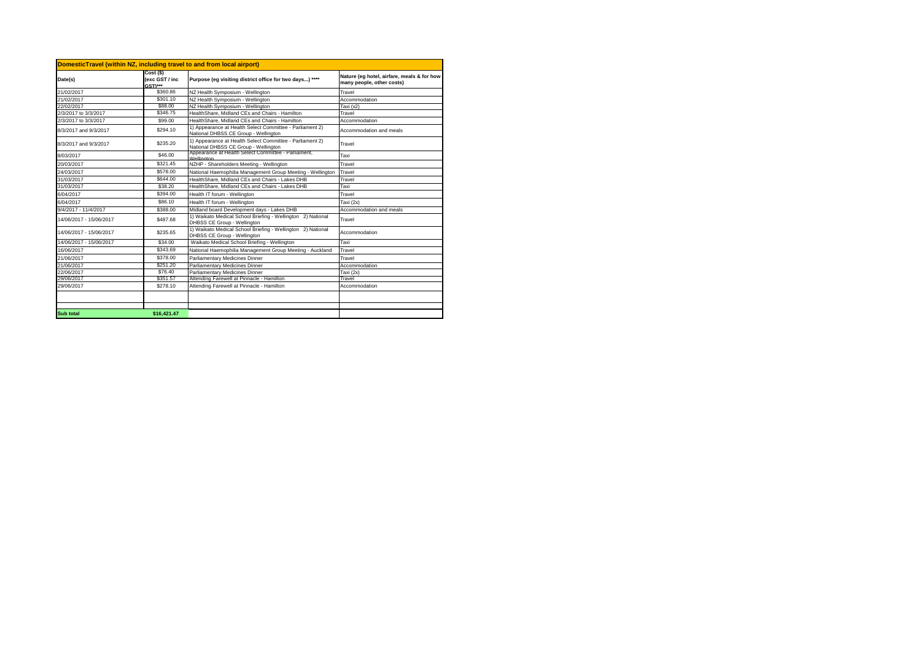| $Cost($ \$)<br>(exc GST / inc<br>Purpose (eg visiting district office for two days) ****<br>many people, other costs)<br>GST)***<br>\$360.86<br>Travel<br>NZ Health Symposium - Wellington<br>NZ Health Symposium - Wellington<br>\$301.10<br>Accommodation<br>\$88.00<br>NZ Health Symposium - Wellington<br>Taxi (x2)<br>HealthShare, Midland CEs and Chairs - Hamilton<br>\$346.75<br>Travel<br>\$99.00<br>HealthShare, Midland CEs and Chairs - Hamilton<br>Accommodation<br>1) Appearance at Health Select Committee - Parliament 2)<br>\$294.10<br>Accommodation and meals<br>National DHBSS CE Group - Wellington<br>1) Appearance at Health Select Committee - Parliament 2)<br>\$235.20<br>Travel<br>National DHBSS CE Group - Wellington<br>Appearance at Health Select Committee - Parliament,<br>\$46.00<br>Taxi<br>Wellington<br>NZHP - Shareholders Meeting - Wellington<br>\$321.45<br>Travel<br>\$578.00<br>National Haemophilia Management Group Meeting - Wellington<br>Travel<br>\$644.00<br>HealthShare, Midland CEs and Chairs - Lakes DHB<br>Travel<br>HealthShare, Midland CEs and Chairs - Lakes DHB<br>\$38.20<br>Taxi<br>\$394.00<br>Health IT forum - Wellington<br>Travel<br>\$86.10<br>Health IT forum - Wellington<br>Taxi (2x)<br>\$388.00<br>Midland board Development days - Lakes DHB<br>Accommodation and meals<br>1) Waikato Medical School Briefing - Wellington 2) National<br>\$487.68<br>Travel<br>DHBSS CE Group - Wellington<br>1) Waikato Medical School Briefing - Wellington 2) National<br>14/06/2017 - 15/06/2017<br>\$235.65<br>Accommodation<br>DHBSS CE Group - Wellington<br>\$34.00<br>Waikato Medical School Briefing - Wellington<br>Taxi<br>14/06/2017 - 15/06/2017<br>16/06/2017<br>National Haemophilia Management Group Meeting - Auckland<br>Travel<br>\$343.69<br>\$378.00<br>Parliamentary Medicines Dinner<br>Travel<br>\$251.20<br>Parliamentary Medicines Dinner<br>Accommodation<br>\$76.40<br>Parliamentary Medicines Dinner<br>Taxi (2x)<br>\$351.57<br>Attending Farewell at Pinnacle - Hamilton<br>Travel<br>\$278.10<br>Attending Farewell at Pinnacle - Hamilton<br>Accommodation | DomesticTravel (within NZ, including travel to and from local airport) |  |  |                                            |  |
|----------------------------------------------------------------------------------------------------------------------------------------------------------------------------------------------------------------------------------------------------------------------------------------------------------------------------------------------------------------------------------------------------------------------------------------------------------------------------------------------------------------------------------------------------------------------------------------------------------------------------------------------------------------------------------------------------------------------------------------------------------------------------------------------------------------------------------------------------------------------------------------------------------------------------------------------------------------------------------------------------------------------------------------------------------------------------------------------------------------------------------------------------------------------------------------------------------------------------------------------------------------------------------------------------------------------------------------------------------------------------------------------------------------------------------------------------------------------------------------------------------------------------------------------------------------------------------------------------------------------------------------------------------------------------------------------------------------------------------------------------------------------------------------------------------------------------------------------------------------------------------------------------------------------------------------------------------------------------------------------------------------------------------------------------------------------------------------------------------------------------------------------------------|------------------------------------------------------------------------|--|--|--------------------------------------------|--|
| 21/02/2017<br>21/02/2017<br>22/06/2017                                                                                                                                                                                                                                                                                                                                                                                                                                                                                                                                                                                                                                                                                                                                                                                                                                                                                                                                                                                                                                                                                                                                                                                                                                                                                                                                                                                                                                                                                                                                                                                                                                                                                                                                                                                                                                                                                                                                                                                                                                                                                                                   | Date(s)                                                                |  |  | Nature (eg hotel, airfare, meals & for how |  |
|                                                                                                                                                                                                                                                                                                                                                                                                                                                                                                                                                                                                                                                                                                                                                                                                                                                                                                                                                                                                                                                                                                                                                                                                                                                                                                                                                                                                                                                                                                                                                                                                                                                                                                                                                                                                                                                                                                                                                                                                                                                                                                                                                          |                                                                        |  |  |                                            |  |
|                                                                                                                                                                                                                                                                                                                                                                                                                                                                                                                                                                                                                                                                                                                                                                                                                                                                                                                                                                                                                                                                                                                                                                                                                                                                                                                                                                                                                                                                                                                                                                                                                                                                                                                                                                                                                                                                                                                                                                                                                                                                                                                                                          |                                                                        |  |  |                                            |  |
| 2/3/2017 to 3/3/2017<br>2/3/2017 to 3/3/2017<br>24/03/2017<br>31/03/2017<br>31/03/2017<br>21/06/2017<br>21/06/2017<br>29/06/2017<br>29/06/2017                                                                                                                                                                                                                                                                                                                                                                                                                                                                                                                                                                                                                                                                                                                                                                                                                                                                                                                                                                                                                                                                                                                                                                                                                                                                                                                                                                                                                                                                                                                                                                                                                                                                                                                                                                                                                                                                                                                                                                                                           | 22/02/2017                                                             |  |  |                                            |  |
|                                                                                                                                                                                                                                                                                                                                                                                                                                                                                                                                                                                                                                                                                                                                                                                                                                                                                                                                                                                                                                                                                                                                                                                                                                                                                                                                                                                                                                                                                                                                                                                                                                                                                                                                                                                                                                                                                                                                                                                                                                                                                                                                                          |                                                                        |  |  |                                            |  |
| 8/3/2017 and 9/3/2017                                                                                                                                                                                                                                                                                                                                                                                                                                                                                                                                                                                                                                                                                                                                                                                                                                                                                                                                                                                                                                                                                                                                                                                                                                                                                                                                                                                                                                                                                                                                                                                                                                                                                                                                                                                                                                                                                                                                                                                                                                                                                                                                    |                                                                        |  |  |                                            |  |
|                                                                                                                                                                                                                                                                                                                                                                                                                                                                                                                                                                                                                                                                                                                                                                                                                                                                                                                                                                                                                                                                                                                                                                                                                                                                                                                                                                                                                                                                                                                                                                                                                                                                                                                                                                                                                                                                                                                                                                                                                                                                                                                                                          |                                                                        |  |  |                                            |  |
|                                                                                                                                                                                                                                                                                                                                                                                                                                                                                                                                                                                                                                                                                                                                                                                                                                                                                                                                                                                                                                                                                                                                                                                                                                                                                                                                                                                                                                                                                                                                                                                                                                                                                                                                                                                                                                                                                                                                                                                                                                                                                                                                                          | 8/3/2017 and 9/3/2017                                                  |  |  |                                            |  |
| 20/03/2017                                                                                                                                                                                                                                                                                                                                                                                                                                                                                                                                                                                                                                                                                                                                                                                                                                                                                                                                                                                                                                                                                                                                                                                                                                                                                                                                                                                                                                                                                                                                                                                                                                                                                                                                                                                                                                                                                                                                                                                                                                                                                                                                               | 8/03/2017                                                              |  |  |                                            |  |
|                                                                                                                                                                                                                                                                                                                                                                                                                                                                                                                                                                                                                                                                                                                                                                                                                                                                                                                                                                                                                                                                                                                                                                                                                                                                                                                                                                                                                                                                                                                                                                                                                                                                                                                                                                                                                                                                                                                                                                                                                                                                                                                                                          |                                                                        |  |  |                                            |  |
| 6/04/2017<br>6/04/2017<br>9/4/2017 - 11/4/2017<br>14/06/2017 - 15/06/2017                                                                                                                                                                                                                                                                                                                                                                                                                                                                                                                                                                                                                                                                                                                                                                                                                                                                                                                                                                                                                                                                                                                                                                                                                                                                                                                                                                                                                                                                                                                                                                                                                                                                                                                                                                                                                                                                                                                                                                                                                                                                                |                                                                        |  |  |                                            |  |
|                                                                                                                                                                                                                                                                                                                                                                                                                                                                                                                                                                                                                                                                                                                                                                                                                                                                                                                                                                                                                                                                                                                                                                                                                                                                                                                                                                                                                                                                                                                                                                                                                                                                                                                                                                                                                                                                                                                                                                                                                                                                                                                                                          |                                                                        |  |  |                                            |  |
|                                                                                                                                                                                                                                                                                                                                                                                                                                                                                                                                                                                                                                                                                                                                                                                                                                                                                                                                                                                                                                                                                                                                                                                                                                                                                                                                                                                                                                                                                                                                                                                                                                                                                                                                                                                                                                                                                                                                                                                                                                                                                                                                                          |                                                                        |  |  |                                            |  |
|                                                                                                                                                                                                                                                                                                                                                                                                                                                                                                                                                                                                                                                                                                                                                                                                                                                                                                                                                                                                                                                                                                                                                                                                                                                                                                                                                                                                                                                                                                                                                                                                                                                                                                                                                                                                                                                                                                                                                                                                                                                                                                                                                          |                                                                        |  |  |                                            |  |
|                                                                                                                                                                                                                                                                                                                                                                                                                                                                                                                                                                                                                                                                                                                                                                                                                                                                                                                                                                                                                                                                                                                                                                                                                                                                                                                                                                                                                                                                                                                                                                                                                                                                                                                                                                                                                                                                                                                                                                                                                                                                                                                                                          |                                                                        |  |  |                                            |  |
|                                                                                                                                                                                                                                                                                                                                                                                                                                                                                                                                                                                                                                                                                                                                                                                                                                                                                                                                                                                                                                                                                                                                                                                                                                                                                                                                                                                                                                                                                                                                                                                                                                                                                                                                                                                                                                                                                                                                                                                                                                                                                                                                                          |                                                                        |  |  |                                            |  |
|                                                                                                                                                                                                                                                                                                                                                                                                                                                                                                                                                                                                                                                                                                                                                                                                                                                                                                                                                                                                                                                                                                                                                                                                                                                                                                                                                                                                                                                                                                                                                                                                                                                                                                                                                                                                                                                                                                                                                                                                                                                                                                                                                          |                                                                        |  |  |                                            |  |
|                                                                                                                                                                                                                                                                                                                                                                                                                                                                                                                                                                                                                                                                                                                                                                                                                                                                                                                                                                                                                                                                                                                                                                                                                                                                                                                                                                                                                                                                                                                                                                                                                                                                                                                                                                                                                                                                                                                                                                                                                                                                                                                                                          |                                                                        |  |  |                                            |  |
|                                                                                                                                                                                                                                                                                                                                                                                                                                                                                                                                                                                                                                                                                                                                                                                                                                                                                                                                                                                                                                                                                                                                                                                                                                                                                                                                                                                                                                                                                                                                                                                                                                                                                                                                                                                                                                                                                                                                                                                                                                                                                                                                                          |                                                                        |  |  |                                            |  |
|                                                                                                                                                                                                                                                                                                                                                                                                                                                                                                                                                                                                                                                                                                                                                                                                                                                                                                                                                                                                                                                                                                                                                                                                                                                                                                                                                                                                                                                                                                                                                                                                                                                                                                                                                                                                                                                                                                                                                                                                                                                                                                                                                          |                                                                        |  |  |                                            |  |
|                                                                                                                                                                                                                                                                                                                                                                                                                                                                                                                                                                                                                                                                                                                                                                                                                                                                                                                                                                                                                                                                                                                                                                                                                                                                                                                                                                                                                                                                                                                                                                                                                                                                                                                                                                                                                                                                                                                                                                                                                                                                                                                                                          |                                                                        |  |  |                                            |  |
|                                                                                                                                                                                                                                                                                                                                                                                                                                                                                                                                                                                                                                                                                                                                                                                                                                                                                                                                                                                                                                                                                                                                                                                                                                                                                                                                                                                                                                                                                                                                                                                                                                                                                                                                                                                                                                                                                                                                                                                                                                                                                                                                                          |                                                                        |  |  |                                            |  |
|                                                                                                                                                                                                                                                                                                                                                                                                                                                                                                                                                                                                                                                                                                                                                                                                                                                                                                                                                                                                                                                                                                                                                                                                                                                                                                                                                                                                                                                                                                                                                                                                                                                                                                                                                                                                                                                                                                                                                                                                                                                                                                                                                          |                                                                        |  |  |                                            |  |
|                                                                                                                                                                                                                                                                                                                                                                                                                                                                                                                                                                                                                                                                                                                                                                                                                                                                                                                                                                                                                                                                                                                                                                                                                                                                                                                                                                                                                                                                                                                                                                                                                                                                                                                                                                                                                                                                                                                                                                                                                                                                                                                                                          |                                                                        |  |  |                                            |  |
|                                                                                                                                                                                                                                                                                                                                                                                                                                                                                                                                                                                                                                                                                                                                                                                                                                                                                                                                                                                                                                                                                                                                                                                                                                                                                                                                                                                                                                                                                                                                                                                                                                                                                                                                                                                                                                                                                                                                                                                                                                                                                                                                                          |                                                                        |  |  |                                            |  |
|                                                                                                                                                                                                                                                                                                                                                                                                                                                                                                                                                                                                                                                                                                                                                                                                                                                                                                                                                                                                                                                                                                                                                                                                                                                                                                                                                                                                                                                                                                                                                                                                                                                                                                                                                                                                                                                                                                                                                                                                                                                                                                                                                          |                                                                        |  |  |                                            |  |
| <b>Sub total</b><br>\$16.421.47                                                                                                                                                                                                                                                                                                                                                                                                                                                                                                                                                                                                                                                                                                                                                                                                                                                                                                                                                                                                                                                                                                                                                                                                                                                                                                                                                                                                                                                                                                                                                                                                                                                                                                                                                                                                                                                                                                                                                                                                                                                                                                                          |                                                                        |  |  |                                            |  |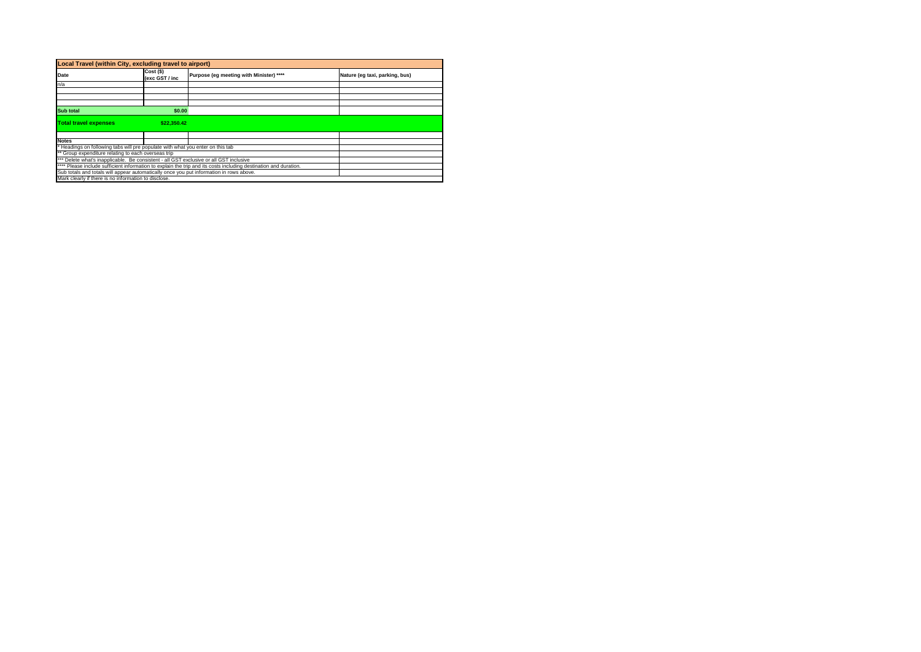| Local Travel (within City, excluding travel to airport)                                                          |                               |                                                                           |  |  |
|------------------------------------------------------------------------------------------------------------------|-------------------------------|---------------------------------------------------------------------------|--|--|
| Date                                                                                                             | $Cost($ \$)<br>(exc GST / inc | Purpose (eg meeting with Minister) ****<br>Nature (eg taxi, parking, bus) |  |  |
| n/a                                                                                                              |                               |                                                                           |  |  |
|                                                                                                                  |                               |                                                                           |  |  |
|                                                                                                                  |                               |                                                                           |  |  |
|                                                                                                                  |                               |                                                                           |  |  |
| <b>Sub total</b><br>\$0.00                                                                                       |                               |                                                                           |  |  |
| <b>Total travel expenses</b>                                                                                     | \$22.350.42                   |                                                                           |  |  |
|                                                                                                                  |                               |                                                                           |  |  |
| <b>Notes</b>                                                                                                     |                               |                                                                           |  |  |
| Headings on following tabs will pre populate with what you enter on this tab                                     |                               |                                                                           |  |  |
| ** Group expenditure relating to each overseas trip                                                              |                               |                                                                           |  |  |
| *** Delete what's inapplicable. Be consistent - all GST exclusive or all GST inclusive                           |                               |                                                                           |  |  |
| **** Please include sufficient information to explain the trip and its costs including destination and duration. |                               |                                                                           |  |  |
| Sub totals and totals will appear automatically once you put information in rows above.                          |                               |                                                                           |  |  |
| Mark clearly if there is no information to disclose.                                                             |                               |                                                                           |  |  |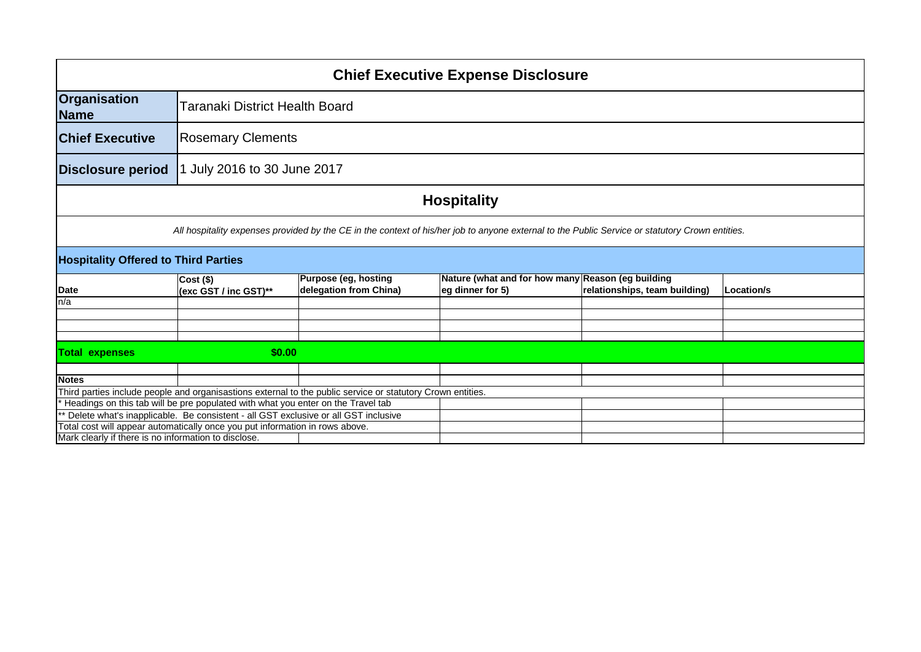| <b>Chief Executive Expense Disclosure</b>                                                                                                                             |                                                                                                                                                                                                 |                             |                                                   |                               |            |
|-----------------------------------------------------------------------------------------------------------------------------------------------------------------------|-------------------------------------------------------------------------------------------------------------------------------------------------------------------------------------------------|-----------------------------|---------------------------------------------------|-------------------------------|------------|
| Organisation<br><b>Name</b>                                                                                                                                           | Taranaki District Health Board                                                                                                                                                                  |                             |                                                   |                               |            |
| <b>Chief Executive</b>                                                                                                                                                |                                                                                                                                                                                                 | <b>Rosemary Clements</b>    |                                                   |                               |            |
| <b>Disclosure period</b>                                                                                                                                              |                                                                                                                                                                                                 | 1 July 2016 to 30 June 2017 |                                                   |                               |            |
|                                                                                                                                                                       |                                                                                                                                                                                                 |                             | <b>Hospitality</b>                                |                               |            |
|                                                                                                                                                                       | All hospitality expenses provided by the CE in the context of his/her job to anyone external to the Public Service or statutory Crown entities.                                                 |                             |                                                   |                               |            |
| <b>Hospitality Offered to Third Parties</b>                                                                                                                           |                                                                                                                                                                                                 |                             |                                                   |                               |            |
|                                                                                                                                                                       | $Cost($ \$)                                                                                                                                                                                     | <b>Purpose (eg, hosting</b> | Nature (what and for how many Reason (eg building |                               |            |
| Date<br>In/a                                                                                                                                                          | (exc GST / inc GST)**                                                                                                                                                                           | delegation from China)      | eg dinner for 5)                                  | relationships, team building) | Location/s |
|                                                                                                                                                                       |                                                                                                                                                                                                 |                             |                                                   |                               |            |
|                                                                                                                                                                       |                                                                                                                                                                                                 |                             |                                                   |                               |            |
|                                                                                                                                                                       |                                                                                                                                                                                                 |                             |                                                   |                               |            |
| \$0.00<br><b>Total expenses</b>                                                                                                                                       |                                                                                                                                                                                                 |                             |                                                   |                               |            |
|                                                                                                                                                                       |                                                                                                                                                                                                 |                             |                                                   |                               |            |
| <b>Notes</b>                                                                                                                                                          |                                                                                                                                                                                                 |                             |                                                   |                               |            |
|                                                                                                                                                                       | Third parties include people and organisastions external to the public service or statutory Crown entities.<br>Headings on this tab will be pre populated with what you enter on the Travel tab |                             |                                                   |                               |            |
|                                                                                                                                                                       |                                                                                                                                                                                                 |                             |                                                   |                               |            |
| ** Delete what's inapplicable. Be consistent - all GST exclusive or all GST inclusive<br>Total cost will appear automatically once you put information in rows above. |                                                                                                                                                                                                 |                             |                                                   |                               |            |
| Mark clearly if there is no information to disclose.                                                                                                                  |                                                                                                                                                                                                 |                             |                                                   |                               |            |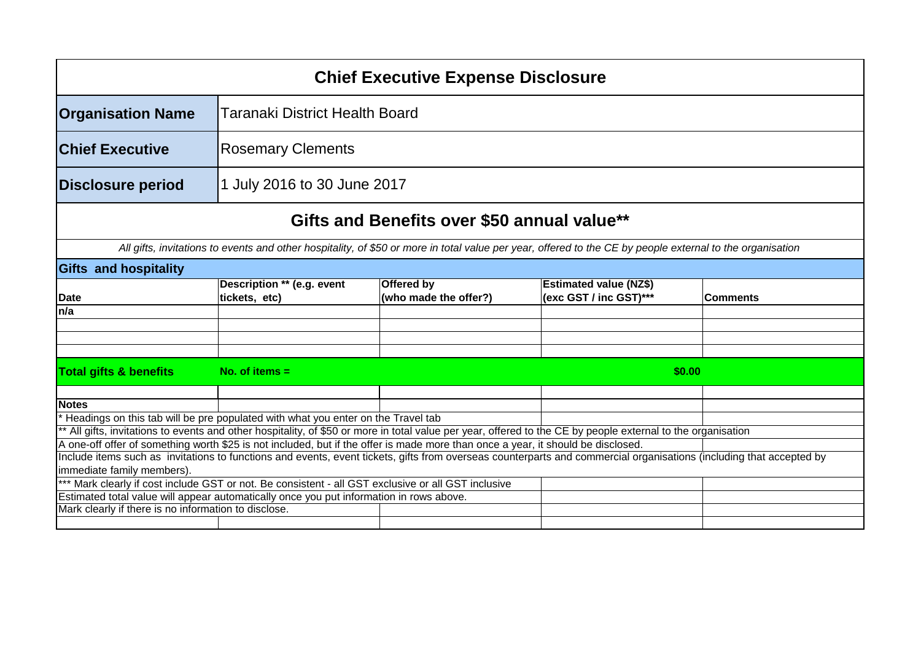|                                                      |                                                                                                                                                                     | <b>Chief Executive Expense Disclosure</b>   |                                                         |                 |  |  |
|------------------------------------------------------|---------------------------------------------------------------------------------------------------------------------------------------------------------------------|---------------------------------------------|---------------------------------------------------------|-----------------|--|--|
| <b>Organisation Name</b>                             | Taranaki District Health Board                                                                                                                                      |                                             |                                                         |                 |  |  |
| <b>Chief Executive</b>                               | <b>Rosemary Clements</b>                                                                                                                                            |                                             |                                                         |                 |  |  |
| Disclosure period                                    | 1 July 2016 to 30 June 2017                                                                                                                                         |                                             |                                                         |                 |  |  |
|                                                      |                                                                                                                                                                     | Gifts and Benefits over \$50 annual value** |                                                         |                 |  |  |
|                                                      | All gifts, invitations to events and other hospitality, of \$50 or more in total value per year, offered to the CE by people external to the organisation           |                                             |                                                         |                 |  |  |
| <b>Gifts and hospitality</b>                         |                                                                                                                                                                     |                                             |                                                         |                 |  |  |
| Date                                                 | Description ** (e.g. event<br>tickets, etc)                                                                                                                         | <b>Offered by</b><br>(who made the offer?)  | <b>Estimated value (NZ\$)</b><br>(exc GST / inc GST)*** | <b>Comments</b> |  |  |
| ln/a                                                 |                                                                                                                                                                     |                                             |                                                         |                 |  |  |
|                                                      |                                                                                                                                                                     |                                             |                                                         |                 |  |  |
|                                                      |                                                                                                                                                                     |                                             |                                                         |                 |  |  |
| <b>Total gifts &amp; benefits</b>                    | No. of items $=$                                                                                                                                                    |                                             | \$0.00                                                  |                 |  |  |
| <b>Notes</b>                                         |                                                                                                                                                                     |                                             |                                                         |                 |  |  |
|                                                      | Headings on this tab will be pre populated with what you enter on the Travel tab                                                                                    |                                             |                                                         |                 |  |  |
|                                                      | ** All gifts, invitations to events and other hospitality, of \$50 or more in total value per year, offered to the CE by people external to the organisation        |                                             |                                                         |                 |  |  |
|                                                      | A one-off offer of something worth \$25 is not included, but if the offer is made more than once a year, it should be disclosed.                                    |                                             |                                                         |                 |  |  |
| immediate family members).                           | Include items such as invitations to functions and events, event tickets, gifts from overseas counterparts and commercial organisations (including that accepted by |                                             |                                                         |                 |  |  |
|                                                      | *** Mark clearly if cost include GST or not. Be consistent - all GST exclusive or all GST inclusive                                                                 |                                             |                                                         |                 |  |  |
|                                                      | Estimated total value will appear automatically once you put information in rows above.                                                                             |                                             |                                                         |                 |  |  |
| Mark clearly if there is no information to disclose. |                                                                                                                                                                     |                                             |                                                         |                 |  |  |
|                                                      |                                                                                                                                                                     |                                             |                                                         |                 |  |  |